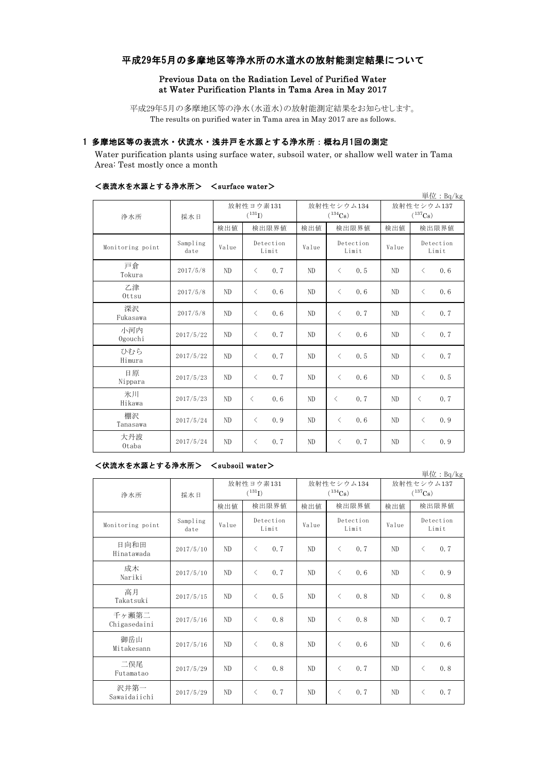# 平成29年5月の多摩地区等浄水所の水道水の放射能測定結果について

### Previous Data on the Radiation Level of Purified Water at Water Purification Plants in Tama Area in May 2017

平成29年5月の多摩地区等の浄水(水道水)の放射能測定結果をお知らせします。 The results on purified water in Tama area in May 2017 are as follows.

# 1 多摩地区等の表流水・伏流水・浅井戸を水源とする浄水所:概ね月1回の測定

Water purification plants using surface water, subsoil water, or shallow well water in Tama Area: Test mostly once a month

|                  |                  |                          |                    |                            |                    |                            | 単位: Bq/kg          |  |
|------------------|------------------|--------------------------|--------------------|----------------------------|--------------------|----------------------------|--------------------|--|
| 浄水所              | 採水日              | 放射性ヨウ素131<br>$(^{131}I)$ |                    | 放射性セシウム134<br>$(^{134}Cs)$ |                    | 放射性セシウム137<br>$(^{137}Cs)$ |                    |  |
|                  |                  | 検出値                      | 検出限界値              | 検出値                        | 検出限界値              | 検出値                        | 検出限界値              |  |
| Monitoring point | Sampling<br>date | Value                    | Detection<br>Limit | Value                      | Detection<br>Limit | Value                      | Detection<br>Limit |  |
| 戸倉<br>Tokura     | 2017/5/8         | N <sub>D</sub>           | 0.7<br>$\langle$   | ND                         | $\langle$<br>0.5   | ND                         | $\langle$<br>0.6   |  |
| 乙津<br>Ottsu      | 2017/5/8         | ND                       | $\langle$<br>0.6   | ND                         | $\langle$<br>0.6   | ND                         | 0.6<br>$\langle$   |  |
| 深沢<br>Fukasawa   | 2017/5/8         | ND                       | 0.6<br>$\langle$   | ND                         | $\langle$<br>0.7   | ND                         | 0.7<br>$\langle$   |  |
| 小河内<br>Ogouchi   | 2017/5/22        | ND                       | 0.7<br>$\,$ $\,$   | ND                         | $\langle$<br>0.6   | N <sub>D</sub>             | 0.7<br>$\langle$   |  |
| ひむら<br>Himura    | 2017/5/22        | ND                       | 0.7<br>$\langle$   | ND                         | $\langle$<br>0.5   | ND                         | 0.7<br>$\lt$       |  |
| 日原<br>Nippara    | 2017/5/23        | ND                       | $\,$ $\,$<br>0.7   | ND                         | $\langle$<br>0.6   | ND                         | 0.5<br>$\langle$   |  |
| 氷川<br>Hikawa     | 2017/5/23        | N <sub>D</sub>           | 0.6<br>$\langle$   | ND                         | 0.7<br>$\lt$       | ND                         | 0.7<br>$\langle$   |  |
| 棚沢<br>Tanasawa   | 2017/5/24        | N <sub>D</sub>           | $\langle$<br>0.9   | ND                         | $\langle$<br>0.6   | ND                         | 0.9<br>$\langle$   |  |
| 大丹波<br>Otaba     | 2017/5/24        | ND                       | 0.7<br>$\lt$       | ND                         | $\langle$<br>0.7   | ND                         | 0.9<br>$\lt$       |  |

## <表流水を水源とする浄水所> <surface water>

#### <伏流水を水源とする浄水所> <subsoil water>

単位:Bq/kg 検出値 検出限界値 検出限界値 検出値 Monitoring point Sampling<br>date mpiing Value Deceetion Value Deceetion Value 日向和田<br>Hinatawada Hinatawada 2017/5/10 ND <sup>&</sup>lt; 0.7 ND <sup>&</sup>lt; 0.7 ND <sup>&</sup>lt; 0.7 成木  $\frac{1}{2}$   $\frac{1}{2}$   $\frac{1}{2}$   $\frac{2017}{5/10}$  ND  $\left\{ \begin{array}{ccc} 0.7 \\ 0.7 \end{array} \right\}$  ND  $\left\{ \begin{array}{ccc} 0.6 \\ 0.6 \end{array} \right\}$  ND  $\left\{ \begin{array}{ccc} 0.9 \\ 0.9 \end{array} \right\}$ 高月 Takatsuki | 2017/5/15 | ND | < 0.5 | ND | < 0.8 | ND | < 0.8 千ヶ瀬第二 Chigasedaini 2017/5/16 ND <sup>&</sup>lt; 0.8 ND <sup>&</sup>lt; 0.8 ND <sup>&</sup>lt; 0.7 御岳山 Mitakesann 2017/5/16 ND < 0.8 ND < 0.6 ND < 0.6 二俣尾 Futamatao 2017/5/29 ND <sup>&</sup>lt; 0.8 ND <sup>&</sup>lt; 0.7 ND <sup>&</sup>lt; 0.8 沢井第一<br>Sawaidaiichi  $S$ awaidaiichi 2017/5/29 ND < 0.7 ND < 0.7 ND < 0.7 放射性ヨウ素131  $(^{131}I)$ 放射性セシウム134  $(^{134}Cs)$ 放射性セシウム137  $(^{137}Cs)$ 検出限界値 検出限界値 検出限界値 Detection Limit Detection Limit Detection Limit 浄水所 採水日